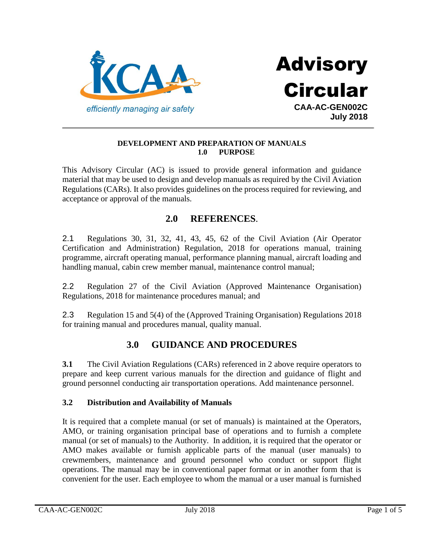



#### **DEVELOPMENT AND PREPARATION OF MANUALS 1.0 PURPOSE**

This Advisory Circular (AC) is issued to provide general information and guidance material that may be used to design and develop manuals as required by the Civil Aviation Regulations (CARs). It also provides guidelines on the process required for reviewing, and acceptance or approval of the manuals.

# **2.0 REFERENCES**.

2.1 Regulations 30, 31, 32, 41, 43, 45, 62 of the Civil Aviation (Air Operator Certification and Administration) Regulation, 2018 for operations manual, training programme, aircraft operating manual, performance planning manual, aircraft loading and handling manual, cabin crew member manual, maintenance control manual;

2.2 Regulation 27 of the Civil Aviation (Approved Maintenance Organisation) Regulations, 2018 for maintenance procedures manual; and

2.3 Regulation 15 and 5(4) of the (Approved Training Organisation) Regulations 2018 for training manual and procedures manual, quality manual.

# **3.0 GUIDANCE AND PROCEDURES**

**3.1** The Civil Aviation Regulations (CARs) referenced in 2 above require operators to prepare and keep current various manuals for the direction and guidance of flight and ground personnel conducting air transportation operations. Add maintenance personnel.

#### **3.2 Distribution and Availability of Manuals**

It is required that a complete manual (or set of manuals) is maintained at the Operators, AMO, or training organisation principal base of operations and to furnish a complete manual (or set of manuals) to the Authority. In addition, it is required that the operator or AMO makes available or furnish applicable parts of the manual (user manuals) to crewmembers, maintenance and ground personnel who conduct or support flight operations. The manual may be in conventional paper format or in another form that is convenient for the user. Each employee to whom the manual or a user manual is furnished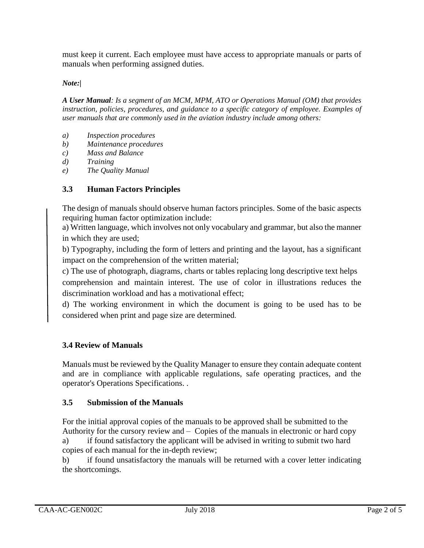must keep it current. Each employee must have access to appropriate manuals or parts of manuals when performing assigned duties.

### *Note:|*

*A User Manual: Is a segment of an MCM, MPM, ATO or Operations Manual (OM) that provides instruction, policies, procedures, and guidance to a specific category of employee. Examples of user manuals that are commonly used in the aviation industry include among others:*

- *a) Inspection procedures*
- *b) Maintenance procedures*
- *c) Mass and Balance*
- *d) Training*
- *e) The Quality Manual*

## **3.3 Human Factors Principles**

The design of manuals should observe human factors principles. Some of the basic aspects requiring human factor optimization include:

a) Written language, which involves not only vocabulary and grammar, but also the manner in which they are used;

b) Typography, including the form of letters and printing and the layout, has a significant impact on the comprehension of the written material;

c) The use of photograph, diagrams, charts or tables replacing long descriptive text helps comprehension and maintain interest. The use of color in illustrations reduces the discrimination workload and has a motivational effect;

d) The working environment in which the document is going to be used has to be considered when print and page size are determined.

### **3.4 Review of Manuals**

Manuals must be reviewed by the Quality Manager to ensure they contain adequate content and are in compliance with applicable regulations, safe operating practices, and the operator's Operations Specifications. .

### **3.5 Submission of the Manuals**

For the initial approval copies of the manuals to be approved shall be submitted to the Authority for the cursory review and – Copies of the manuals in electronic or hard copy a) if found satisfactory the applicant will be advised in writing to submit two hard copies of each manual for the in-depth review;

b) if found unsatisfactory the manuals will be returned with a cover letter indicating the shortcomings.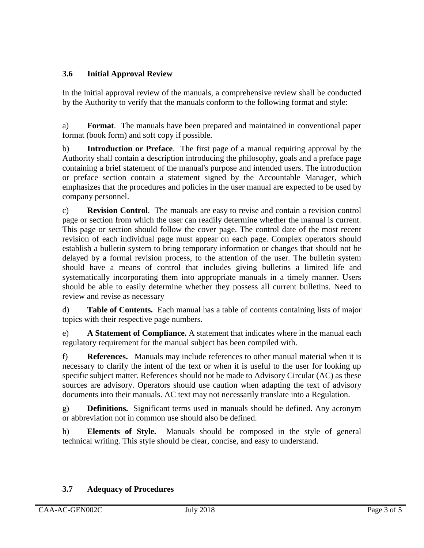## **3.6 Initial Approval Review**

In the initial approval review of the manuals, a comprehensive review shall be conducted by the Authority to verify that the manuals conform to the following format and style:

a) **Format**. The manuals have been prepared and maintained in conventional paper format (book form) and soft copy if possible.

b) **Introduction or Preface**. The first page of a manual requiring approval by the Authority shall contain a description introducing the philosophy, goals and a preface page containing a brief statement of the manual's purpose and intended users. The introduction or preface section contain a statement signed by the Accountable Manager, which emphasizes that the procedures and policies in the user manual are expected to be used by company personnel.

c) **Revision Control**. The manuals are easy to revise and contain a revision control page or section from which the user can readily determine whether the manual is current. This page or section should follow the cover page. The control date of the most recent revision of each individual page must appear on each page. Complex operators should establish a bulletin system to bring temporary information or changes that should not be delayed by a formal revision process, to the attention of the user. The bulletin system should have a means of control that includes giving bulletins a limited life and systematically incorporating them into appropriate manuals in a timely manner. Users should be able to easily determine whether they possess all current bulletins. Need to review and revise as necessary

d) **Table of Contents.** Each manual has a table of contents containing lists of major topics with their respective page numbers.

e) **A Statement of Compliance.** A statement that indicates where in the manual each regulatory requirement for the manual subject has been compiled with.

f) **References.** Manuals may include references to other manual material when it is necessary to clarify the intent of the text or when it is useful to the user for looking up specific subject matter. References should not be made to Advisory Circular (AC) as these sources are advisory. Operators should use caution when adapting the text of advisory documents into their manuals. AC text may not necessarily translate into a Regulation.

g) **Definitions.** Significant terms used in manuals should be defined. Any acronym or abbreviation not in common use should also be defined.

h) **Elements of Style.** Manuals should be composed in the style of general technical writing. This style should be clear, concise, and easy to understand.

### **3.7 Adequacy of Procedures**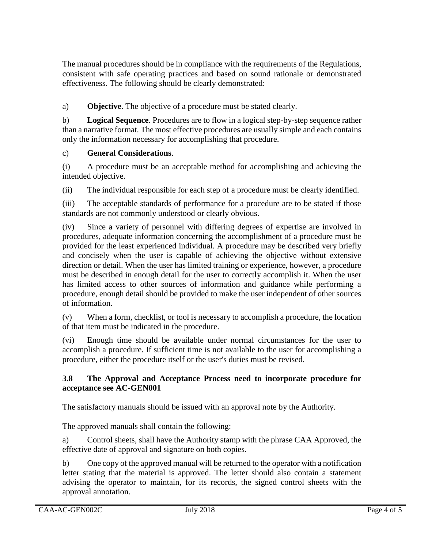The manual procedures should be in compliance with the requirements of the Regulations, consistent with safe operating practices and based on sound rationale or demonstrated effectiveness. The following should be clearly demonstrated:

a) **Objective**. The objective of a procedure must be stated clearly.

b) **Logical Sequence**. Procedures are to flow in a logical step-by-step sequence rather than a narrative format. The most effective procedures are usually simple and each contains only the information necessary for accomplishing that procedure.

### c) **General Considerations**.

(i) A procedure must be an acceptable method for accomplishing and achieving the intended objective.

(ii) The individual responsible for each step of a procedure must be clearly identified.

(iii) The acceptable standards of performance for a procedure are to be stated if those standards are not commonly understood or clearly obvious.

(iv) Since a variety of personnel with differing degrees of expertise are involved in procedures, adequate information concerning the accomplishment of a procedure must be provided for the least experienced individual. A procedure may be described very briefly and concisely when the user is capable of achieving the objective without extensive direction or detail. When the user has limited training or experience, however, a procedure must be described in enough detail for the user to correctly accomplish it. When the user has limited access to other sources of information and guidance while performing a procedure, enough detail should be provided to make the user independent of other sources of information.

(v) When a form, checklist, or tool is necessary to accomplish a procedure, the location of that item must be indicated in the procedure.

(vi) Enough time should be available under normal circumstances for the user to accomplish a procedure. If sufficient time is not available to the user for accomplishing a procedure, either the procedure itself or the user's duties must be revised.

#### **3.8 The Approval and Acceptance Process need to incorporate procedure for acceptance see AC-GEN001**

The satisfactory manuals should be issued with an approval note by the Authority.

The approved manuals shall contain the following:

a) Control sheets, shall have the Authority stamp with the phrase CAA Approved, the effective date of approval and signature on both copies.

b) One copy of the approved manual will be returned to the operator with a notification letter stating that the material is approved. The letter should also contain a statement advising the operator to maintain, for its records, the signed control sheets with the approval annotation.